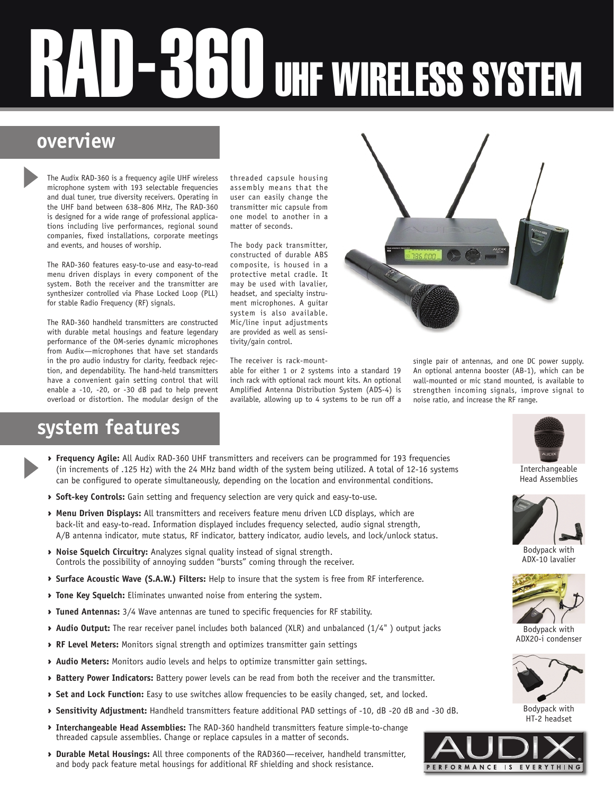# U UHF WIRELESS SYSTEM

# **overview**

The Audix RAD-360 is a frequency agile UHF wireless microphone system with 193 selectable frequencies and dual tuner, true diversity receivers. Operating in the UHF band between 638–806 MHz, The RAD-360 is designed for a wide range of professional applications including live performances, regional sound companies, fixed installations, corporate meetings and events, and houses of worship.

The RAD-360 features easy-to-use and easy-to-read menu driven displays in every component of the system. Both the receiver and the transmitter are synthesizer controlled via Phase Locked Loop (PLL) for stable Radio Frequency (RF) signals.

The RAD-360 handheld transmitters are constructed with durable metal housings and feature legendary performance of the OM-series dynamic microphones from Audix—microphones that have set standards in the pro audio industry for clarity, feedback rejection, and dependability. The hand-held transmitters have a convenient gain setting control that will enable a -10, -20, or -30 dB pad to help prevent overload or distortion. The modular design of the

## threaded capsule housing assembly means that the user can easily change the transmitter mic capsule from one model to another in a matter of seconds.

The body pack transmitter, constructed of durable ABS composite, is housed in a protective metal cradle. It may be used with lavalier, headset, and specialty instrument microphones. A guitar system is also available. Mic/line input adjustments are provided as well as sensitivity/gain control.

## The receiver is rack-mount-

able for either 1 or 2 systems into a standard 19 inch rack with optional rack mount kits. An optional Amplified Antenna Distribution System (ADS-4) is available, allowing up to 4 systems to be run off a



# **system features**

- **Frequency Agile:** All Audix RAD-360 UHF transmitters and receivers can be programmed for 193 frequencies (in increments of .125 Hz) with the 24 MHz band width of the system being utilized. A total of 12-16 systems can be configured to operate simultaneously, depending on the location and environmental conditions.
- **> Soft-key Controls:** Gain setting and frequency selection are very quick and easy-to-use.
- g **Menu Driven Displays:** All transmitters and receivers feature menu driven LCD displays, which are back-lit and easy-to-read. Information displayed includes frequency selected, audio signal strength, A/B antenna indicator, mute status, RF indicator, battery indicator, audio levels, and lock/unlock status.
- g **Noise Squelch Circuitry:** Analyzes signal quality instead of signal strength. Controls the possibility of annoying sudden "bursts" coming through the receiver.
- g **Surface Acoustic Wave (S.A.W.) Filters:** Help to insure that the system is free from RF interference.
- **Tone Key Squelch:** Eliminates unwanted noise from entering the system.
- **Tuned Antennas:** 3/4 Wave antennas are tuned to specific frequencies for RF stability.
- ◆ Audio Output: The rear receiver panel includes both balanced (XLR) and unbalanced (1/4") output jacks
- g **RF Level Meters:** Monitors signal strength and optimizes transmitter gain settings
- **Audio Meters:** Monitors audio levels and helps to optimize transmitter gain settings.
- **Battery Power Indicators:** Battery power levels can be read from both the receiver and the transmitter.
- g **Set and Lock Function:** Easy to use switches allow frequencies to be easily changed, set, and locked.
- g **Sensitivity Adjustment:** Handheld transmitters feature additional PAD settings of -10, dB -20 dB and -30 dB.
- g **Interchangeable Head Assemblies:** The RAD-360 handheld transmitters feature simple-to-change threaded capsule assemblies. Change or replace capsules in a matter of seconds.
- g **Durable Metal Housings:** All three components of the RAD360—receiver, handheld transmitter, and body pack feature metal housings for additional RF shielding and shock resistance.



Interchangeable Head Assemblies



Bodypack with ADX-10 lavalier



Bodypack with ADX20-i condenser



Bodypack with HT-2 headset